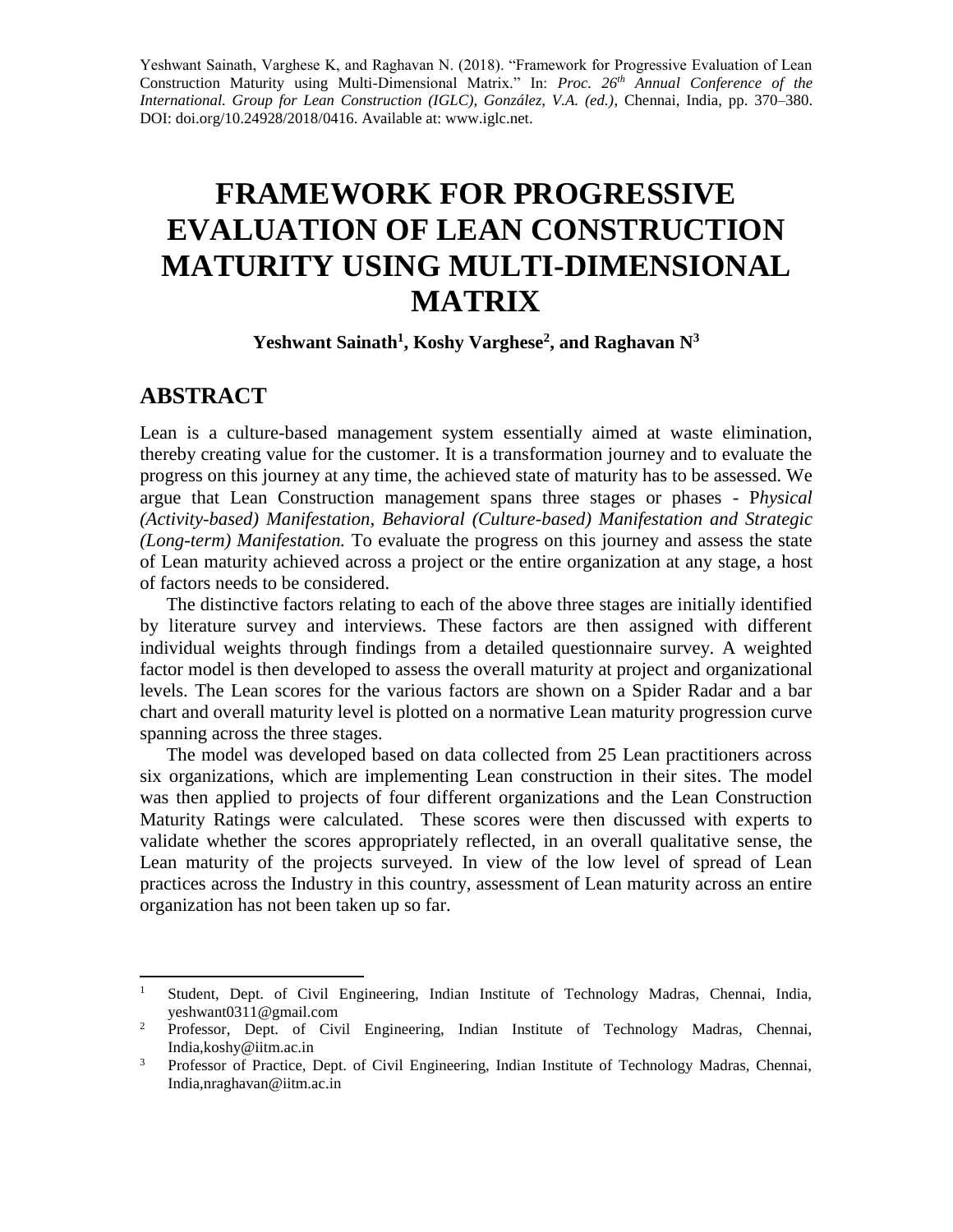Yeshwant Sainath, Varghese K, and Raghavan N. (2018). "Framework for Progressive Evaluation of Lean Construction Maturity using Multi-Dimensional Matrix." In: *Proc. 26th Annual Conference of the International. Group for Lean Construction (IGLC), González, V.A. (ed.)*, Chennai, India, pp. 370–380. DOI: [doi.org/10.24928/2018/0](http://doi.org/10.24928/2018/)416. Available at: www.iglc.net.

# **FRAMEWORK FOR PROGRESSIVE EVALUATION OF LEAN CONSTRUCTION MATURITY USING MULTI-DIMENSIONAL MATRIX**

**Yeshwant Sainath<sup>1</sup> , Koshy Varghese<sup>2</sup> , and Raghavan N<sup>3</sup>**

#### **ABSTRACT**

Lean is a culture-based management system essentially aimed at waste elimination, thereby creating value for the customer. It is a transformation journey and to evaluate the progress on this journey at any time, the achieved state of maturity has to be assessed. We argue that Lean Construction management spans three stages or phases - P*hysical (Activity-based) Manifestation, Behavioral (Culture-based) Manifestation and Strategic (Long-term) Manifestation.* To evaluate the progress on this journey and assess the state of Lean maturity achieved across a project or the entire organization at any stage, a host of factors needs to be considered.

The distinctive factors relating to each of the above three stages are initially identified by literature survey and interviews. These factors are then assigned with different individual weights through findings from a detailed questionnaire survey. A weighted factor model is then developed to assess the overall maturity at project and organizational levels. The Lean scores for the various factors are shown on a Spider Radar and a bar chart and overall maturity level is plotted on a normative Lean maturity progression curve spanning across the three stages.

The model was developed based on data collected from 25 Lean practitioners across six organizations, which are implementing Lean construction in their sites. The model was then applied to projects of four different organizations and the Lean Construction Maturity Ratings were calculated. These scores were then discussed with experts to validate whether the scores appropriately reflected, in an overall qualitative sense, the Lean maturity of the projects surveyed. In view of the low level of spread of Lean practices across the Industry in this country, assessment of Lean maturity across an entire organization has not been taken up so far.

 $1\,$ <sup>1</sup> Student, Dept. of Civil Engineering, Indian Institute of Technology Madras, Chennai, India, yeshwant0311@gmail.com

<sup>&</sup>lt;sup>2</sup> Professor, Dept. of Civil Engineering, Indian Institute of Technology Madras, Chennai, India[,koshy@iitm.ac.in](mailto:koshy@iitm.ac.in)

<sup>&</sup>lt;sup>3</sup> Professor of Practice, Dept. of Civil Engineering, Indian Institute of Technology Madras, Chennai, India[,nraghavan@iitm.ac.in](mailto:nraghavan@iitm.ac.in)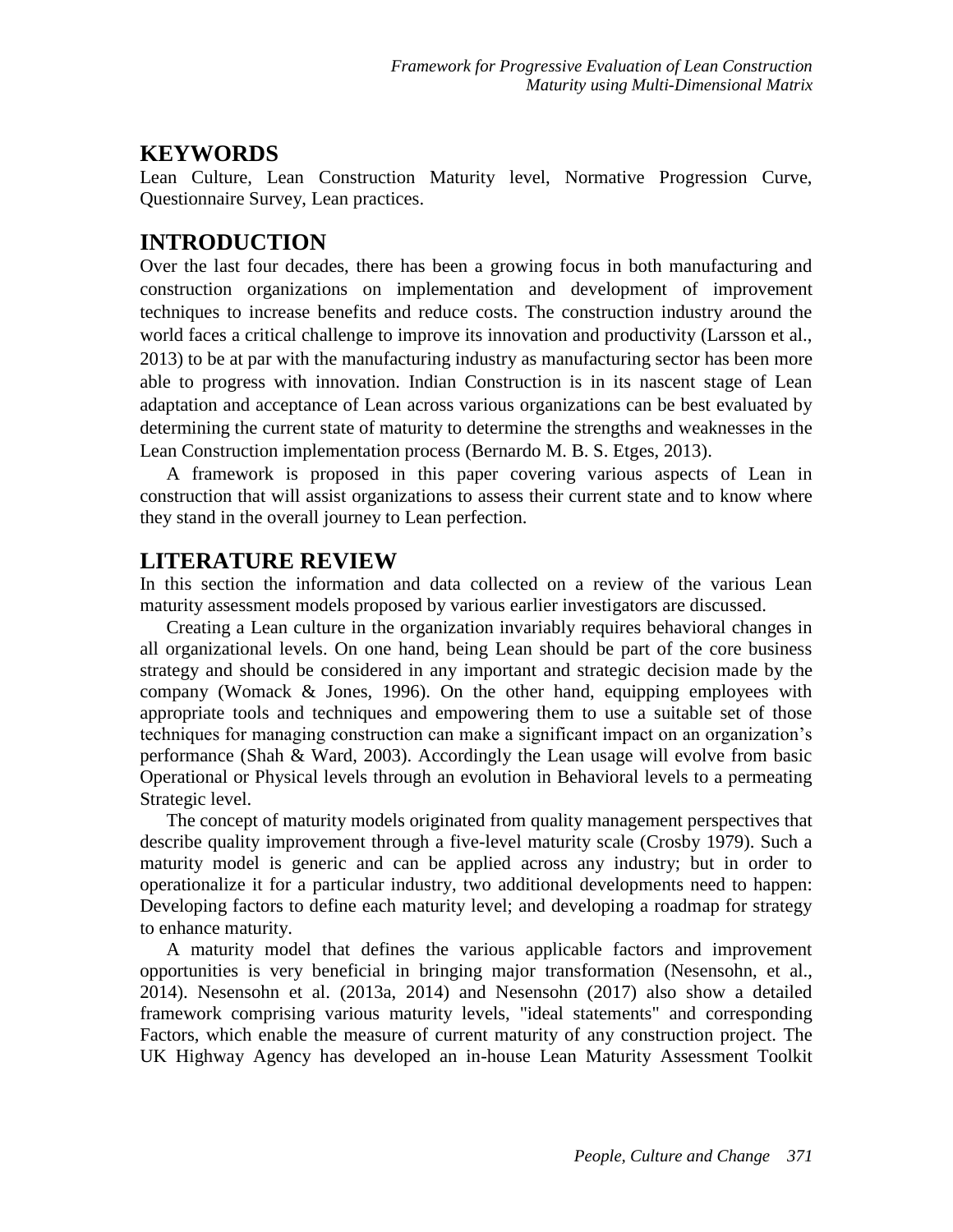#### **KEYWORDS**

Lean Culture, Lean Construction Maturity level, Normative Progression Curve, Questionnaire Survey, Lean practices.

#### **INTRODUCTION**

Over the last four decades, there has been a growing focus in both manufacturing and construction organizations on implementation and development of improvement techniques to increase benefits and reduce costs. The construction industry around the world faces a critical challenge to improve its innovation and productivity (Larsson et al., 2013) to be at par with the manufacturing industry as manufacturing sector has been more able to progress with innovation. Indian Construction is in its nascent stage of Lean adaptation and acceptance of Lean across various organizations can be best evaluated by determining the current state of maturity to determine the strengths and weaknesses in the Lean Construction implementation process (Bernardo M. B. S. Etges, 2013).

A framework is proposed in this paper covering various aspects of Lean in construction that will assist organizations to assess their current state and to know where they stand in the overall journey to Lean perfection.

#### **LITERATURE REVIEW**

In this section the information and data collected on a review of the various Lean maturity assessment models proposed by various earlier investigators are discussed.

Creating a Lean culture in the organization invariably requires behavioral changes in all organizational levels. On one hand, being Lean should be part of the core business strategy and should be considered in any important and strategic decision made by the company (Womack & Jones, 1996). On the other hand, equipping employees with appropriate tools and techniques and empowering them to use a suitable set of those techniques for managing construction can make a significant impact on an organization's performance (Shah & Ward, 2003). Accordingly the Lean usage will evolve from basic Operational or Physical levels through an evolution in Behavioral levels to a permeating Strategic level.

The concept of maturity models originated from quality management perspectives that describe quality improvement through a five-level maturity scale (Crosby 1979). Such a maturity model is generic and can be applied across any industry; but in order to operationalize it for a particular industry, two additional developments need to happen: Developing factors to define each maturity level; and developing a roadmap for strategy to enhance maturity.

A maturity model that defines the various applicable factors and improvement opportunities is very beneficial in bringing major transformation (Nesensohn, et al., 2014). Nesensohn et al. (2013a, 2014) and Nesensohn (2017) also show a detailed framework comprising various maturity levels, "ideal statements" and corresponding Factors, which enable the measure of current maturity of any construction project. The UK Highway Agency has developed an in-house Lean Maturity Assessment Toolkit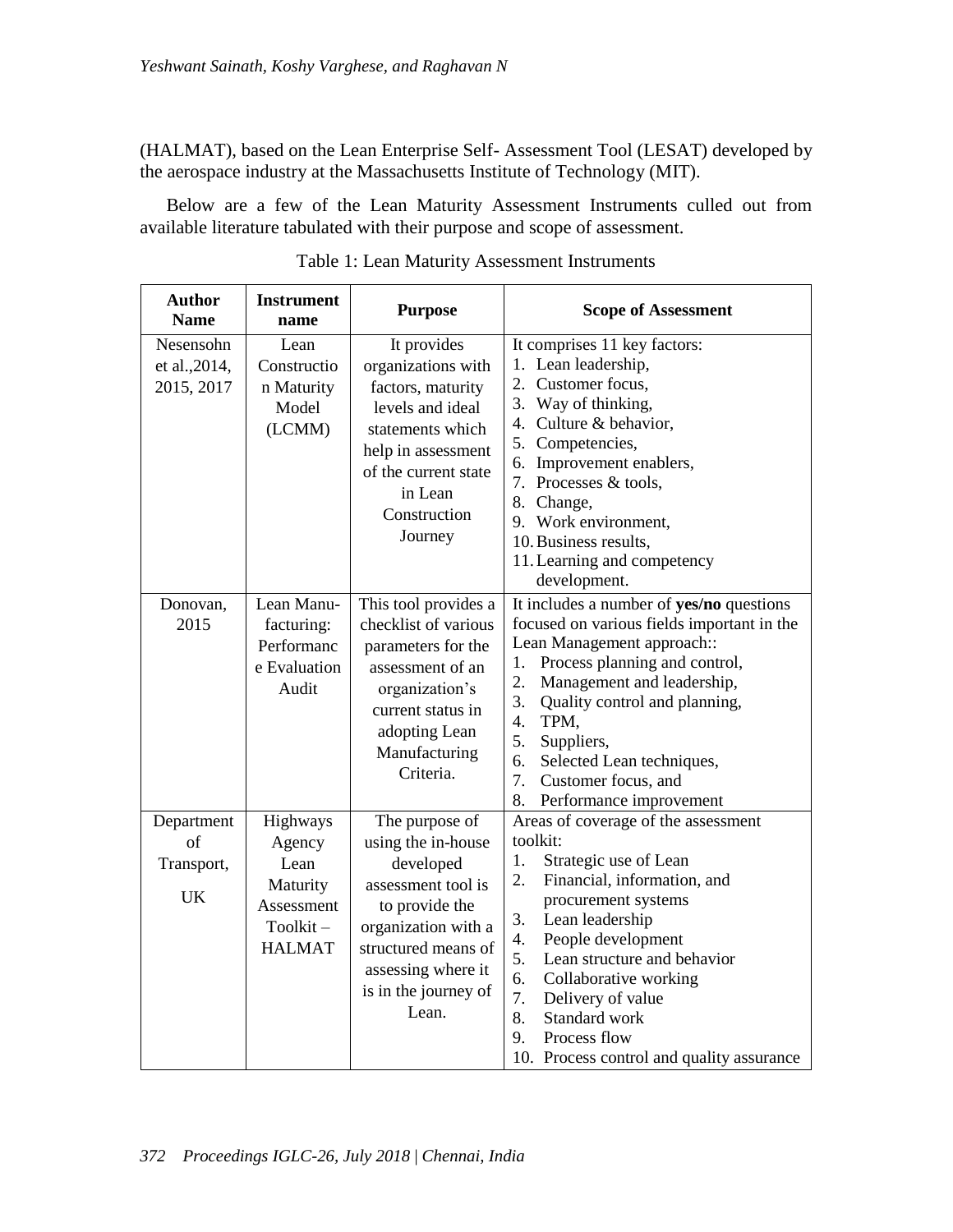(HALMAT), based on the Lean Enterprise Self- Assessment Tool (LESAT) developed by the aerospace industry at the Massachusetts Institute of Technology (MIT).

Below are a few of the Lean Maturity Assessment Instruments culled out from available literature tabulated with their purpose and scope of assessment.

| <b>Author</b><br><b>Name</b>                | <b>Instrument</b><br>name                                                         | <b>Purpose</b>                                                                                                                                                                                 | <b>Scope of Assessment</b>                                                                                                                                                                                                                                                                                                                                                               |
|---------------------------------------------|-----------------------------------------------------------------------------------|------------------------------------------------------------------------------------------------------------------------------------------------------------------------------------------------|------------------------------------------------------------------------------------------------------------------------------------------------------------------------------------------------------------------------------------------------------------------------------------------------------------------------------------------------------------------------------------------|
| Nesensohn<br>et al., 2014,<br>2015, 2017    | Lean<br>Constructio<br>n Maturity<br>Model<br>(LCMM)                              | It provides<br>organizations with<br>factors, maturity<br>levels and ideal<br>statements which<br>help in assessment<br>of the current state<br>in Lean<br>Construction<br>Journey             | It comprises 11 key factors:<br>1. Lean leadership,<br>2. Customer focus,<br>3. Way of thinking,<br>Culture & behavior,<br>4.<br>5. Competencies,<br>6. Improvement enablers,<br>7. Processes & tools,<br>8. Change,<br>9. Work environment,<br>10. Business results,<br>11. Learning and competency<br>development.                                                                     |
| Donovan,<br>2015                            | Lean Manu-<br>facturing:<br>Performanc<br>e Evaluation<br>Audit                   | This tool provides a<br>checklist of various<br>parameters for the<br>assessment of an<br>organization's<br>current status in<br>adopting Lean<br>Manufacturing<br>Criteria.                   | It includes a number of yes/no questions<br>focused on various fields important in the<br>Lean Management approach::<br>1.<br>Process planning and control,<br>2.<br>Management and leadership,<br>3.<br>Quality control and planning,<br>TPM,<br>4.<br>5.<br>Suppliers,<br>6.<br>Selected Lean techniques,<br>7.<br>Customer focus, and<br>8.<br>Performance improvement                |
| Department<br>of<br>Transport,<br><b>UK</b> | Highways<br>Agency<br>Lean<br>Maturity<br>Assessment<br>Toolkit-<br><b>HALMAT</b> | The purpose of<br>using the in-house<br>developed<br>assessment tool is<br>to provide the<br>organization with a<br>structured means of<br>assessing where it<br>is in the journey of<br>Lean. | Areas of coverage of the assessment<br>toolkit:<br>1.<br>Strategic use of Lean<br>Financial, information, and<br>2.<br>procurement systems<br>3.<br>Lean leadership<br>4.<br>People development<br>5.<br>Lean structure and behavior<br>6.<br>Collaborative working<br>7.<br>Delivery of value<br>8.<br>Standard work<br>9.<br>Process flow<br>10. Process control and quality assurance |

Table 1: Lean Maturity Assessment Instruments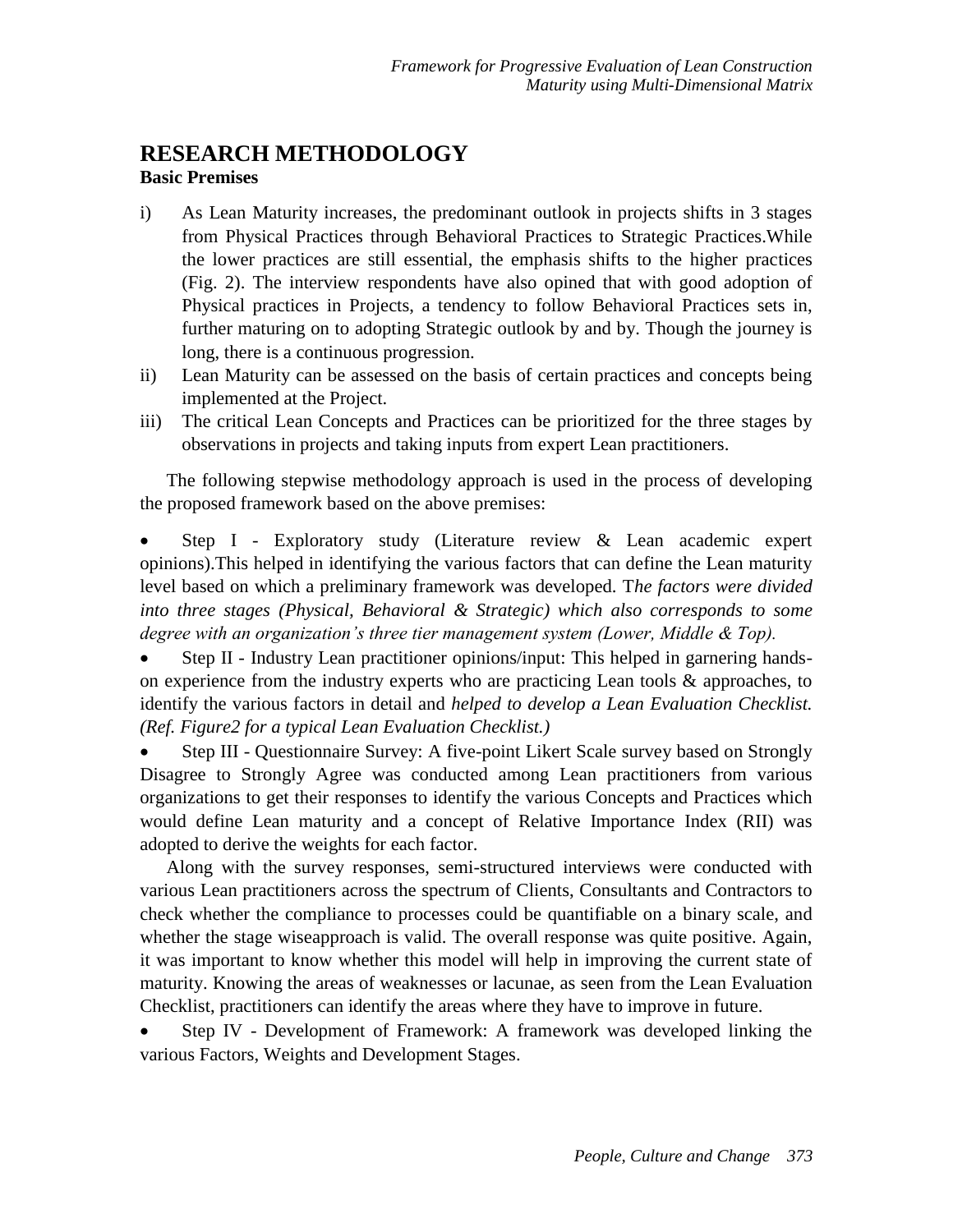#### **RESEARCH METHODOLOGY Basic Premises**

- i) As Lean Maturity increases, the predominant outlook in projects shifts in 3 stages from Physical Practices through Behavioral Practices to Strategic Practices.While the lower practices are still essential, the emphasis shifts to the higher practices (Fig. 2). The interview respondents have also opined that with good adoption of Physical practices in Projects, a tendency to follow Behavioral Practices sets in, further maturing on to adopting Strategic outlook by and by. Though the journey is long, there is a continuous progression.
- ii) Lean Maturity can be assessed on the basis of certain practices and concepts being implemented at the Project.
- iii) The critical Lean Concepts and Practices can be prioritized for the three stages by observations in projects and taking inputs from expert Lean practitioners.

The following stepwise methodology approach is used in the process of developing the proposed framework based on the above premises:

 Step I - Exploratory study (Literature review & Lean academic expert opinions).This helped in identifying the various factors that can define the Lean maturity level based on which a preliminary framework was developed. T*he factors were divided into three stages (Physical, Behavioral & Strategic) which also corresponds to some degree with an organization's three tier management system (Lower, Middle & Top).*

 Step II - Industry Lean practitioner opinions/input: This helped in garnering handson experience from the industry experts who are practicing Lean tools & approaches, to identify the various factors in detail and *helped to develop a Lean Evaluation Checklist. (Ref. Figure2 for a typical Lean Evaluation Checklist.)*

 Step III - Questionnaire Survey: A five-point Likert Scale survey based on Strongly Disagree to Strongly Agree was conducted among Lean practitioners from various organizations to get their responses to identify the various Concepts and Practices which would define Lean maturity and a concept of Relative Importance Index (RII) was adopted to derive the weights for each factor.

Along with the survey responses, semi-structured interviews were conducted with various Lean practitioners across the spectrum of Clients, Consultants and Contractors to check whether the compliance to processes could be quantifiable on a binary scale, and whether the stage wiseapproach is valid. The overall response was quite positive. Again, it was important to know whether this model will help in improving the current state of maturity. Knowing the areas of weaknesses or lacunae, as seen from the Lean Evaluation Checklist, practitioners can identify the areas where they have to improve in future.

 Step IV - Development of Framework: A framework was developed linking the various Factors, Weights and Development Stages.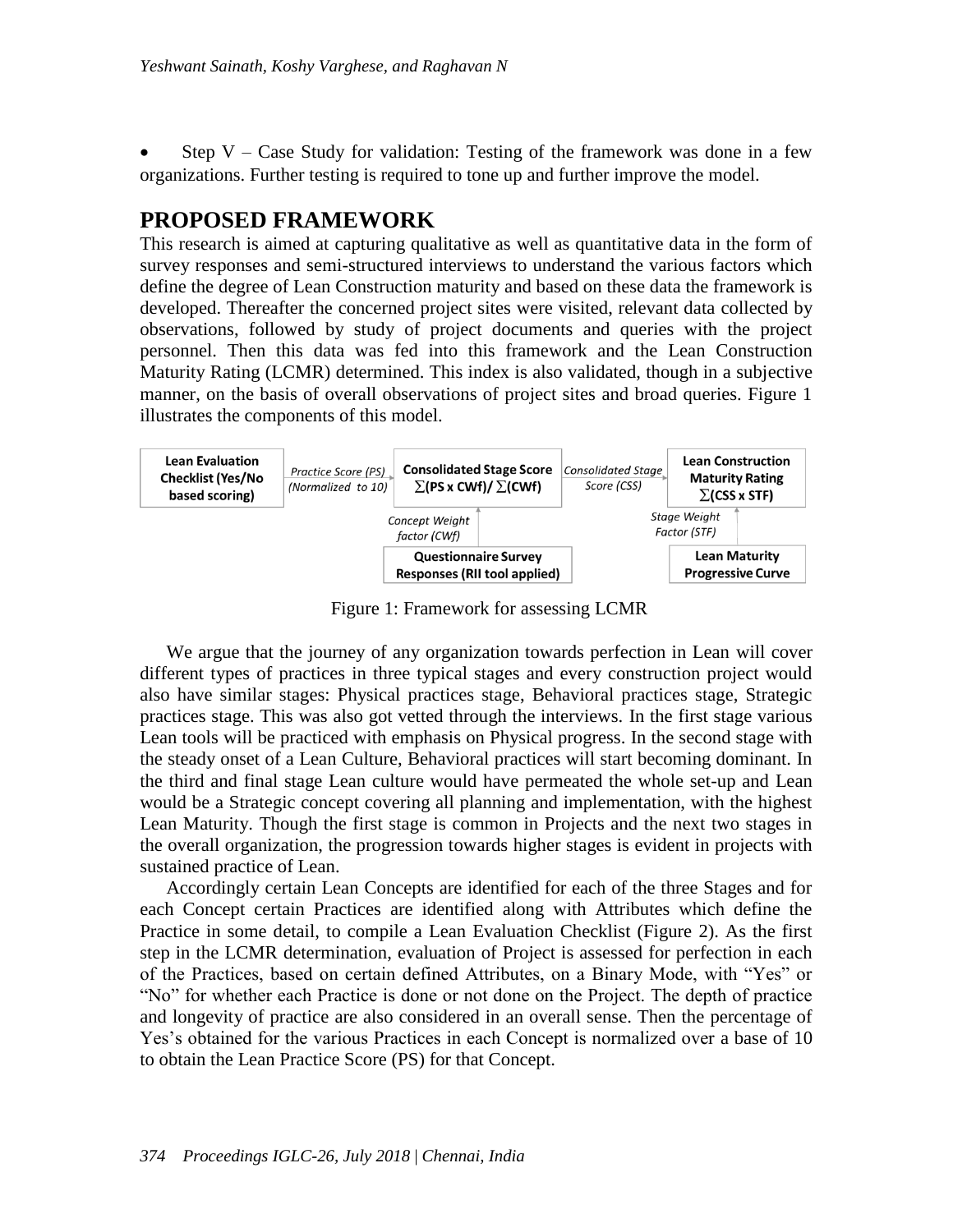Step  $V - Case$  Study for validation: Testing of the framework was done in a few organizations. Further testing is required to tone up and further improve the model.

#### **PROPOSED FRAMEWORK**

This research is aimed at capturing qualitative as well as quantitative data in the form of survey responses and semi-structured interviews to understand the various factors which define the degree of Lean Construction maturity and based on these data the framework is developed. Thereafter the concerned project sites were visited, relevant data collected by observations, followed by study of project documents and queries with the project personnel. Then this data was fed into this framework and the Lean Construction Maturity Rating (LCMR) determined. This index is also validated, though in a subjective manner, on the basis of overall observations of project sites and broad queries. Figure 1 illustrates the components of this model.



Figure 1: Framework for assessing LCMR

We argue that the journey of any organization towards perfection in Lean will cover different types of practices in three typical stages and every construction project would also have similar stages: Physical practices stage, Behavioral practices stage, Strategic practices stage. This was also got vetted through the interviews. In the first stage various Lean tools will be practiced with emphasis on Physical progress. In the second stage with the steady onset of a Lean Culture, Behavioral practices will start becoming dominant. In the third and final stage Lean culture would have permeated the whole set-up and Lean would be a Strategic concept covering all planning and implementation, with the highest Lean Maturity. Though the first stage is common in Projects and the next two stages in the overall organization, the progression towards higher stages is evident in projects with sustained practice of Lean.

Accordingly certain Lean Concepts are identified for each of the three Stages and for each Concept certain Practices are identified along with Attributes which define the Practice in some detail, to compile a Lean Evaluation Checklist (Figure 2). As the first step in the LCMR determination, evaluation of Project is assessed for perfection in each of the Practices, based on certain defined Attributes, on a Binary Mode, with "Yes" or "No" for whether each Practice is done or not done on the Project. The depth of practice and longevity of practice are also considered in an overall sense. Then the percentage of Yes's obtained for the various Practices in each Concept is normalized over a base of 10 to obtain the Lean Practice Score (PS) for that Concept.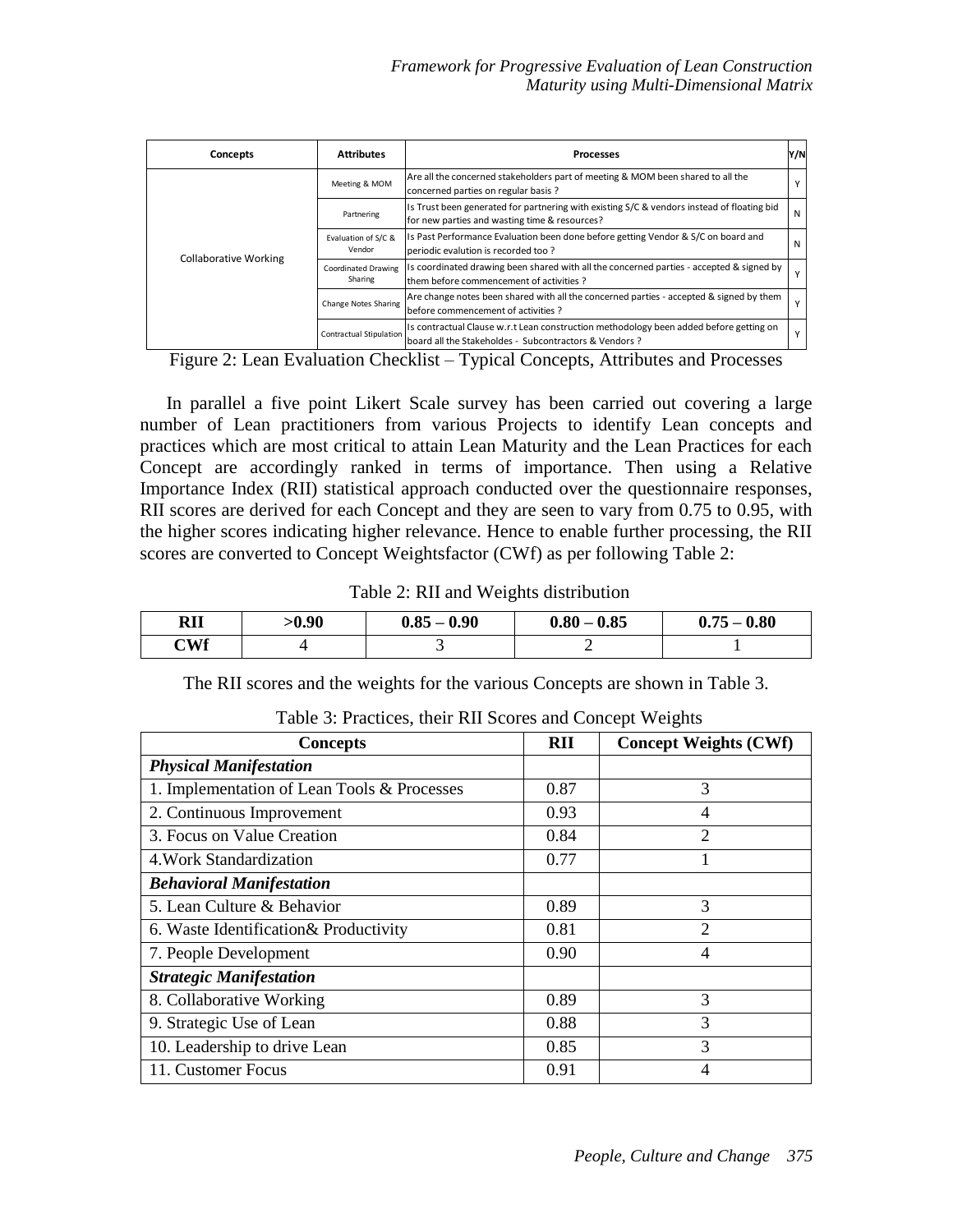| Concepts                     | <b>Attributes</b>              | <b>Processes</b>                                                                                                                                 | Y/N |
|------------------------------|--------------------------------|--------------------------------------------------------------------------------------------------------------------------------------------------|-----|
|                              | Meeting & MOM                  | Are all the concerned stakeholders part of meeting & MOM been shared to all the<br>concerned parties on regular basis?                           |     |
|                              | Partnering                     | Is Trust been generated for partnering with existing S/C & vendors instead of floating bid<br>for new parties and wasting time & resources?      | N   |
|                              | Evaluation of S/C &<br>Vendor  | Is Past Performance Evaluation been done before getting Vendor & S/C on board and<br>periodic evalution is recorded too?                         | N   |
| <b>Collaborative Working</b> | Coordinated Drawing<br>Sharing | Is coordinated drawing been shared with all the concerned parties - accepted & signed by<br>Ithem before commencement of activities?             |     |
|                              | Change Notes Sharing           | Are change notes been shared with all the concerned parties - accepted & signed by them<br>before commencement of activities ?                   |     |
|                              | <b>Contractual Stipulation</b> | Is contractual Clause w.r.t Lean construction methodology been added before getting on<br>board all the Stakeholdes - Subcontractors & Vendors ? |     |

Figure 2: Lean Evaluation Checklist – Typical Concepts, Attributes and Processes

In parallel a five point Likert Scale survey has been carried out covering a large number of Lean practitioners from various Projects to identify Lean concepts and practices which are most critical to attain Lean Maturity and the Lean Practices for each Concept are accordingly ranked in terms of importance. Then using a Relative Importance Index (RII) statistical approach conducted over the questionnaire responses, RII scores are derived for each Concept and they are seen to vary from 0.75 to 0.95, with the higher scores indicating higher relevance. Hence to enable further processing, the RII scores are converted to Concept Weightsfactor (CWf) as per following Table 2:

Table 2: RII and Weights distribution

| RII | $-0.90$ | $0.85 - 0.90$ | $0.80 - 0.85$ | $0.75 - 0.80$ |
|-----|---------|---------------|---------------|---------------|
| CWf |         |               |               |               |

The RII scores and the weights for the various Concepts are shown in Table 3.

| <b>Concepts</b>                             | RII  | <b>Concept Weights (CWf)</b> |
|---------------------------------------------|------|------------------------------|
| <b>Physical Manifestation</b>               |      |                              |
| 1. Implementation of Lean Tools & Processes | 0.87 | 3                            |
| 2. Continuous Improvement                   | 0.93 | 4                            |
| 3. Focus on Value Creation                  | 0.84 | $\overline{2}$               |
| 4. Work Standardization                     | 0.77 |                              |
| <b>Behavioral Manifestation</b>             |      |                              |
| 5. Lean Culture & Behavior                  | 0.89 | 3                            |
| 6. Waste Identification & Productivity      | 0.81 | $\overline{2}$               |
| 7. People Development                       | 0.90 | 4                            |
| <b>Strategic Manifestation</b>              |      |                              |
| 8. Collaborative Working                    | 0.89 | 3                            |
| 9. Strategic Use of Lean                    | 0.88 | 3                            |
| 10. Leadership to drive Lean                | 0.85 | 3                            |
| 11. Customer Focus                          | 0.91 | 4                            |

Table 3: Practices, their RII Scores and Concept Weights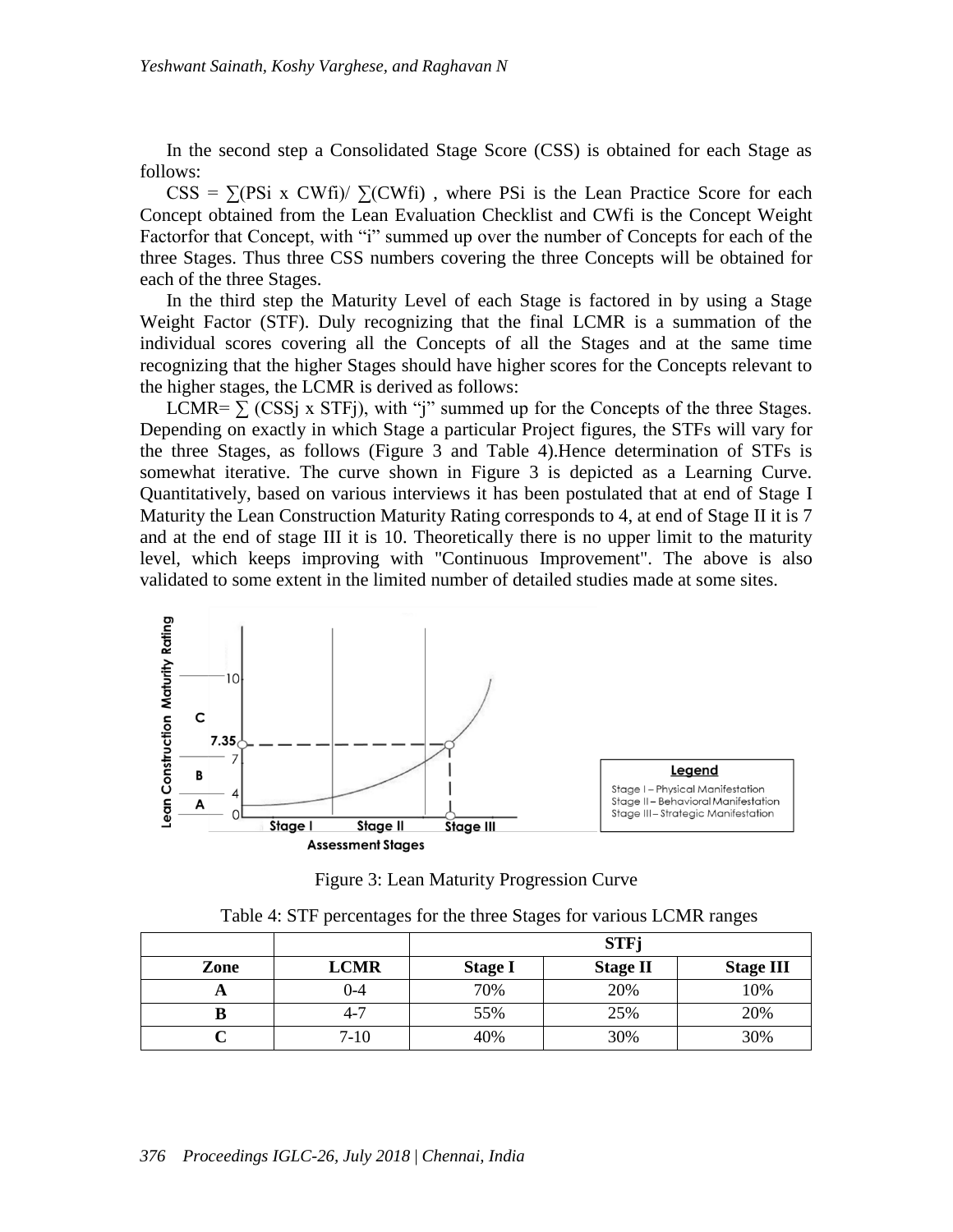In the second step a Consolidated Stage Score (CSS) is obtained for each Stage as follows:

 $CSS = \sum (Psi \times CWH) / \sum (CWH)$ , where PSi is the Lean Practice Score for each Concept obtained from the Lean Evaluation Checklist and CWfi is the Concept Weight Factorfor that Concept, with "i" summed up over the number of Concepts for each of the three Stages. Thus three CSS numbers covering the three Concepts will be obtained for each of the three Stages.

In the third step the Maturity Level of each Stage is factored in by using a Stage Weight Factor (STF). Duly recognizing that the final LCMR is a summation of the individual scores covering all the Concepts of all the Stages and at the same time recognizing that the higher Stages should have higher scores for the Concepts relevant to the higher stages, the LCMR is derived as follows:

LCMR=  $\sum$  (CSSj x STFj), with "j" summed up for the Concepts of the three Stages. Depending on exactly in which Stage a particular Project figures, the STFs will vary for the three Stages, as follows (Figure 3 and Table 4).Hence determination of STFs is somewhat iterative. The curve shown in Figure 3 is depicted as a Learning Curve. Quantitatively, based on various interviews it has been postulated that at end of Stage I Maturity the Lean Construction Maturity Rating corresponds to 4, at end of Stage II it is 7 and at the end of stage III it is 10. Theoretically there is no upper limit to the maturity level, which keeps improving with "Continuous Improvement". The above is also validated to some extent in the limited number of detailed studies made at some sites.



Figure 3: Lean Maturity Progression Curve

|      |             | <b>STFj</b>    |                 |                  |  |
|------|-------------|----------------|-----------------|------------------|--|
| Zone | <b>LCMR</b> | <b>Stage I</b> | <b>Stage II</b> | <b>Stage III</b> |  |
| Ħ    | 0-4         | 70%            | 20%             | 10%              |  |
|      | 4-7         | 55%            | 25%             | 20%              |  |
|      | $7 - 10$    | 40%            | 30%             | 30%              |  |

Table 4: STF percentages for the three Stages for various LCMR ranges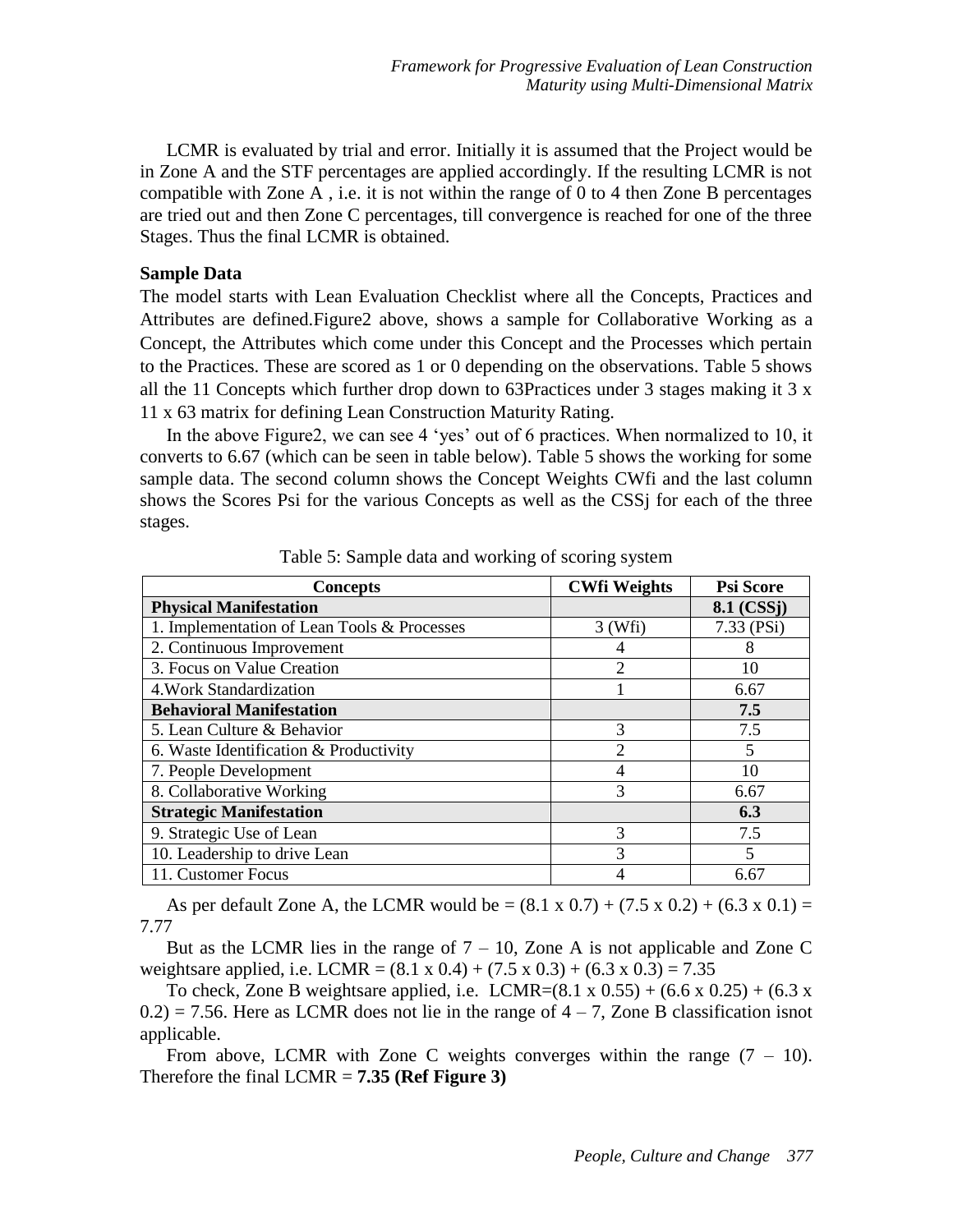LCMR is evaluated by trial and error. Initially it is assumed that the Project would be in Zone A and the STF percentages are applied accordingly. If the resulting LCMR is not compatible with Zone A, i.e. it is not within the range of 0 to 4 then Zone B percentages are tried out and then Zone C percentages, till convergence is reached for one of the three Stages. Thus the final LCMR is obtained.

#### **Sample Data**

The model starts with Lean Evaluation Checklist where all the Concepts, Practices and Attributes are defined.Figure2 above, shows a sample for Collaborative Working as a Concept, the Attributes which come under this Concept and the Processes which pertain to the Practices. These are scored as 1 or 0 depending on the observations. Table 5 shows all the 11 Concepts which further drop down to 63Practices under 3 stages making it  $3 \times$ 11 x 63 matrix for defining Lean Construction Maturity Rating.

In the above Figure2, we can see 4 'yes' out of 6 practices. When normalized to 10, it converts to 6.67 (which can be seen in table below). Table 5 shows the working for some sample data. The second column shows the Concept Weights CWfi and the last column shows the Scores Psi for the various Concepts as well as the CSSj for each of the three stages.

| <b>Concepts</b>                             | <b>CWfi Weights</b> | <b>Psi Score</b>        |
|---------------------------------------------|---------------------|-------------------------|
| <b>Physical Manifestation</b>               |                     | 8.1 (CSS <sub>I</sub> ) |
| 1. Implementation of Lean Tools & Processes | $3$ (Wfi)           | $7.33$ (PSi)            |
| 2. Continuous Improvement                   |                     | 8                       |
| 3. Focus on Value Creation                  | $\overline{2}$      | 10                      |
| 4. Work Standardization                     |                     | 6.67                    |
| <b>Behavioral Manifestation</b>             |                     | 7.5                     |
| 5. Lean Culture & Behavior                  | 3                   | 7.5                     |
| 6. Waste Identification & Productivity      | $\mathfrak{D}$      | 5                       |
| 7. People Development                       | 4                   | 10                      |
| 8. Collaborative Working                    | 3                   | 6.67                    |
| <b>Strategic Manifestation</b>              |                     | 6.3                     |
| 9. Strategic Use of Lean                    | 3                   | 7.5                     |
| 10. Leadership to drive Lean                | 3                   | 5                       |
| 11. Customer Focus                          |                     | 6.67                    |

Table 5: Sample data and working of scoring system

As per default Zone A, the LCMR would be  $= (8.1 \times 0.7) + (7.5 \times 0.2) + (6.3 \times 0.1) =$ 7.77

But as the LCMR lies in the range of  $7 - 10$ , Zone A is not applicable and Zone C weightsare applied, i.e. LCMR =  $(8.1 \times 0.4) + (7.5 \times 0.3) + (6.3 \times 0.3) = 7.35$ 

To check, Zone B weightsare applied, i.e. LCMR= $(8.1 \times 0.55) + (6.6 \times 0.25) + (6.3 \times 0.25)$  $0.2$ ) = 7.56. Here as LCMR does not lie in the range of  $4 - 7$ , Zone B classification isnot applicable.

From above, LCMR with Zone C weights converges within the range  $(7 - 10)$ . Therefore the final LCMR = **7.35 (Ref Figure 3)**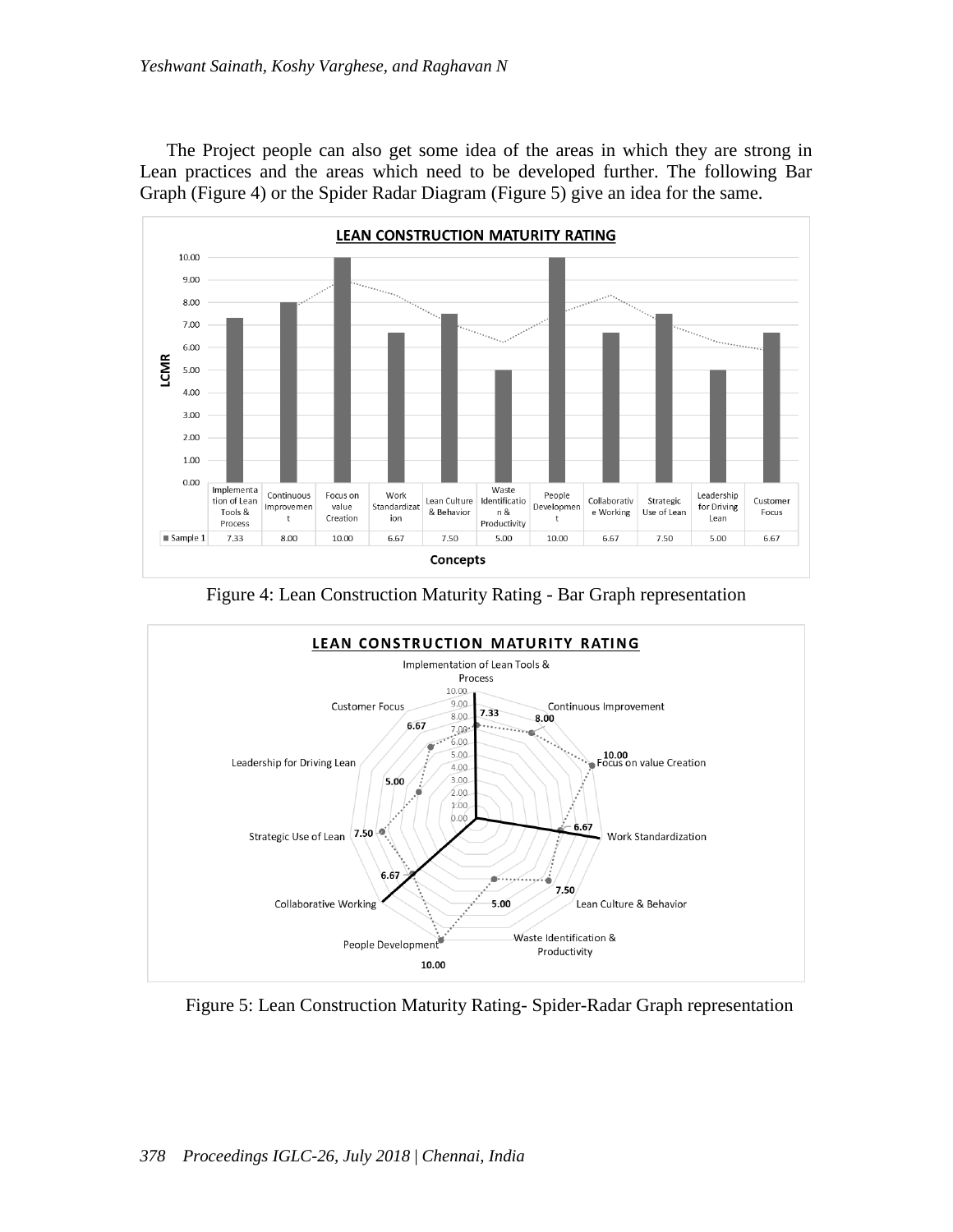The Project people can also get some idea of the areas in which they are strong in Lean practices and the areas which need to be developed further. The following Bar Graph (Figure 4) or the Spider Radar Diagram (Figure 5) give an idea for the same.



Figure 4: Lean Construction Maturity Rating - Bar Graph representation



Figure 5: Lean Construction Maturity Rating- Spider-Radar Graph representation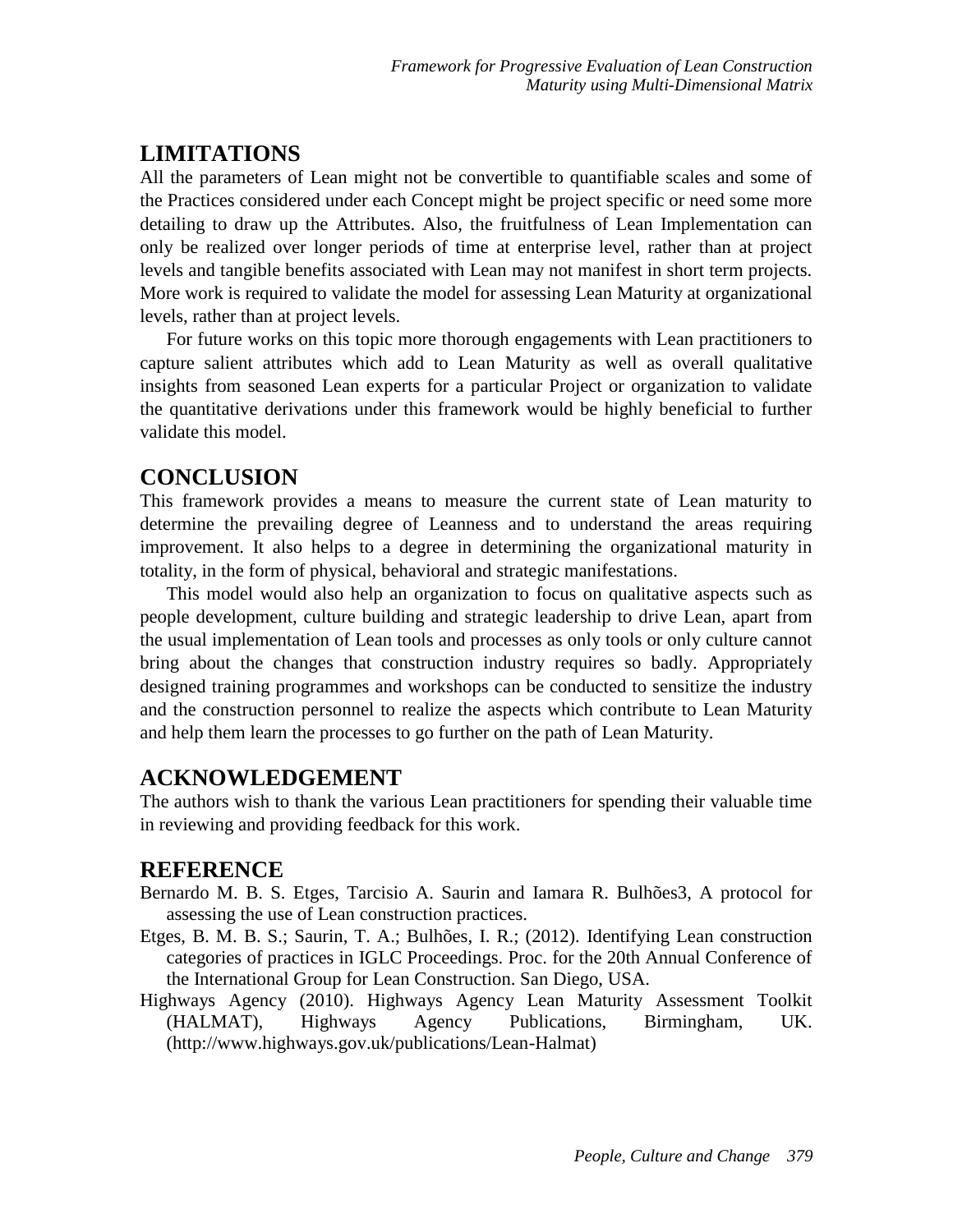## **LIMITATIONS**

All the parameters of Lean might not be convertible to quantifiable scales and some of the Practices considered under each Concept might be project specific or need some more detailing to draw up the Attributes. Also, the fruitfulness of Lean Implementation can only be realized over longer periods of time at enterprise level, rather than at project levels and tangible benefits associated with Lean may not manifest in short term projects. More work is required to validate the model for assessing Lean Maturity at organizational levels, rather than at project levels.

For future works on this topic more thorough engagements with Lean practitioners to capture salient attributes which add to Lean Maturity as well as overall qualitative insights from seasoned Lean experts for a particular Project or organization to validate the quantitative derivations under this framework would be highly beneficial to further validate this model.

#### **CONCLUSION**

This framework provides a means to measure the current state of Lean maturity to determine the prevailing degree of Leanness and to understand the areas requiring improvement. It also helps to a degree in determining the organizational maturity in totality, in the form of physical, behavioral and strategic manifestations.

This model would also help an organization to focus on qualitative aspects such as people development, culture building and strategic leadership to drive Lean, apart from the usual implementation of Lean tools and processes as only tools or only culture cannot bring about the changes that construction industry requires so badly. Appropriately designed training programmes and workshops can be conducted to sensitize the industry and the construction personnel to realize the aspects which contribute to Lean Maturity and help them learn the processes to go further on the path of Lean Maturity.

#### **ACKNOWLEDGEMENT**

The authors wish to thank the various Lean practitioners for spending their valuable time in reviewing and providing feedback for this work.

### **REFERENCE**

- Bernardo M. B. S. Etges, Tarcisio A. Saurin and Iamara R. Bulhões3, A protocol for assessing the use of Lean construction practices.
- Etges, B. M. B. S.; Saurin, T. A.; Bulhões, I. R.; (2012). Identifying Lean construction categories of practices in IGLC Proceedings. Proc. for the 20th Annual Conference of the International Group for Lean Construction. San Diego, USA.
- Highways Agency (2010). Highways Agency Lean Maturity Assessment Toolkit (HALMAT), Highways Agency Publications, Birmingham, UK. [\(http://www.highways.gov.uk/publications/Lean-Halmat\)](http://www.highways.gov.uk/publications/lean-Halmat)